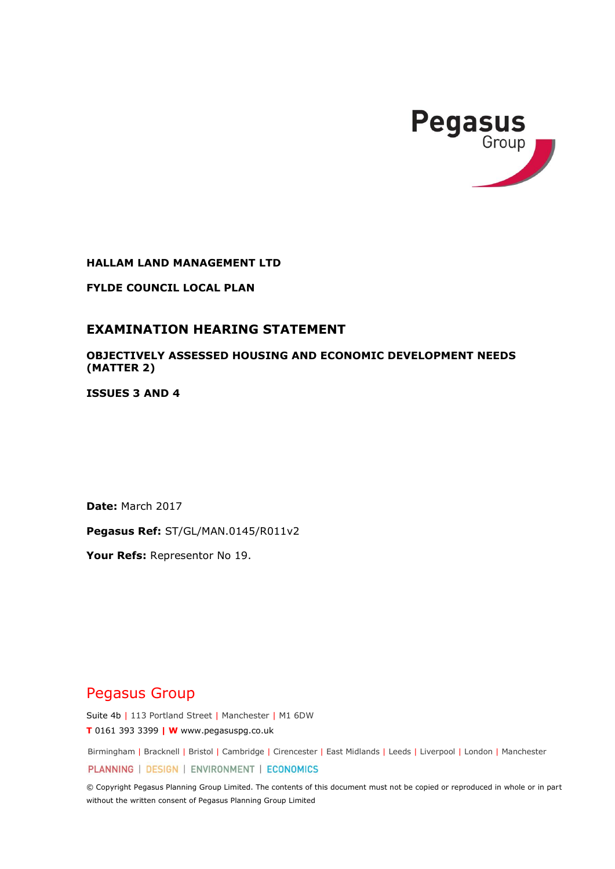

**HALLAM LAND MANAGEMENT LTD**

**FYLDE COUNCIL LOCAL PLAN**

# **EXAMINATION HEARING STATEMENT**

**OBJECTIVELY ASSESSED HOUSING AND ECONOMIC DEVELOPMENT NEEDS (MATTER 2)** 

**ISSUES 3 AND 4**

**Date:** March 2017

**Pegasus Ref:** ST/GL/MAN.0145/R011v2

**Your Refs:** Representor No 19.

# Pegasus Group

Suite 4b | 113 Portland Street | Manchester | M1 6DW

**T** 0161 393 3399 **| W** www.pegasuspg.co.uk

Birmingham | Bracknell | Bristol | Cambridge | Cirencester | East Midlands | Leeds | Liverpool | London | Manchester

PLANNING | DESIGN | ENVIRONMENT | ECONOMICS

© Copyright Pegasus Planning Group Limited. The contents of this document must not be copied or reproduced in whole or in part without the written consent of Pegasus Planning Group Limited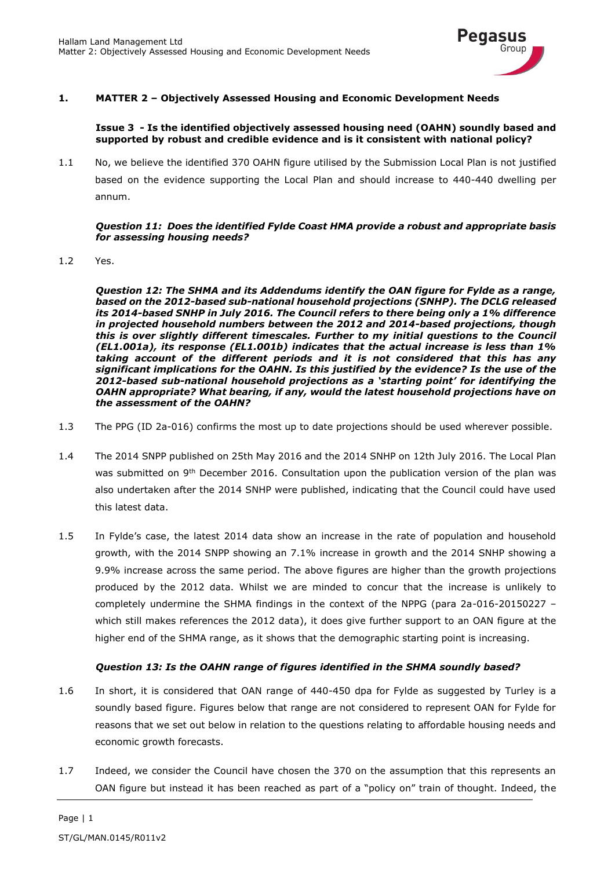

# **1. MATTER 2 – Objectively Assessed Housing and Economic Development Needs**

#### **Issue 3 - Is the identified objectively assessed housing need (OAHN) soundly based and supported by robust and credible evidence and is it consistent with national policy?**

1.1 No, we believe the identified 370 OAHN figure utilised by the Submission Local Plan is not justified based on the evidence supporting the Local Plan and should increase to 440-440 dwelling per annum.

#### *Question 11: Does the identified Fylde Coast HMA provide a robust and appropriate basis for assessing housing needs?*

1.2 Yes.

*Question 12: The SHMA and its Addendums identify the OAN figure for Fylde as a range, based on the 2012-based sub-national household projections (SNHP). The DCLG released its 2014-based SNHP in July 2016. The Council refers to there being only a 1% difference in projected household numbers between the 2012 and 2014-based projections, though this is over slightly different timescales. Further to my initial questions to the Council (EL1.001a), its response (EL1.001b) indicates that the actual increase is less than 1% taking account of the different periods and it is not considered that this has any significant implications for the OAHN. Is this justified by the evidence? Is the use of the 2012-based sub-national household projections as a 'starting point' for identifying the OAHN appropriate? What bearing, if any, would the latest household projections have on the assessment of the OAHN?* 

- 1.3 The PPG (ID 2a-016) confirms the most up to date projections should be used wherever possible.
- 1.4 The 2014 SNPP published on 25th May 2016 and the 2014 SNHP on 12th July 2016. The Local Plan was submitted on 9<sup>th</sup> December 2016. Consultation upon the publication version of the plan was also undertaken after the 2014 SNHP were published, indicating that the Council could have used this latest data.
- 1.5 In Fylde's case, the latest 2014 data show an increase in the rate of population and household growth, with the 2014 SNPP showing an 7.1% increase in growth and the 2014 SNHP showing a 9.9% increase across the same period. The above figures are higher than the growth projections produced by the 2012 data. Whilst we are minded to concur that the increase is unlikely to completely undermine the SHMA findings in the context of the NPPG (para 2a-016-20150227 – which still makes references the 2012 data), it does give further support to an OAN figure at the higher end of the SHMA range, as it shows that the demographic starting point is increasing.

# *Question 13: Is the OAHN range of figures identified in the SHMA soundly based?*

- 1.6 In short, it is considered that OAN range of 440-450 dpa for Fylde as suggested by Turley is a soundly based figure. Figures below that range are not considered to represent OAN for Fylde for reasons that we set out below in relation to the questions relating to affordable housing needs and economic growth forecasts.
- 1.7 Indeed, we consider the Council have chosen the 370 on the assumption that this represents an OAN figure but instead it has been reached as part of a "policy on" train of thought. Indeed, the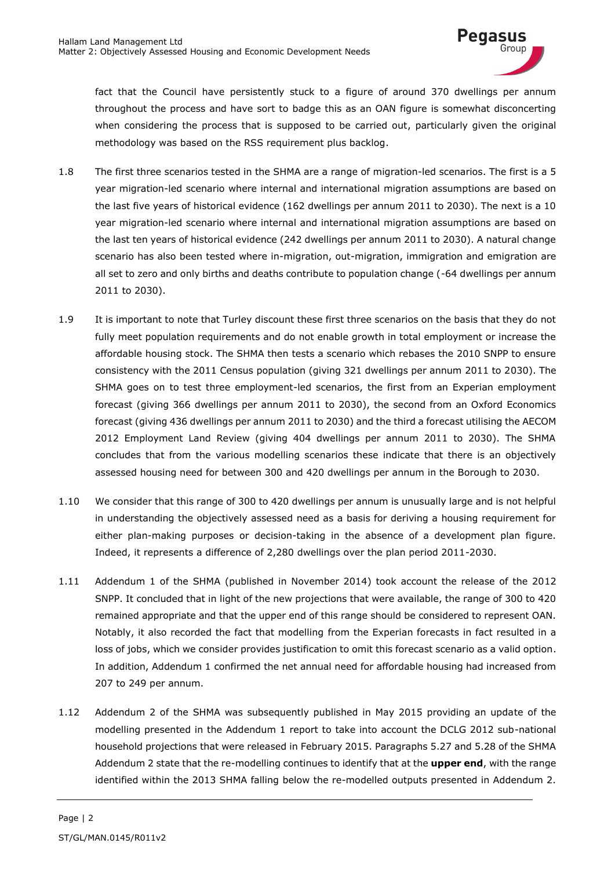

fact that the Council have persistently stuck to a figure of around 370 dwellings per annum throughout the process and have sort to badge this as an OAN figure is somewhat disconcerting when considering the process that is supposed to be carried out, particularly given the original methodology was based on the RSS requirement plus backlog.

- 1.8 The first three scenarios tested in the SHMA are a range of migration-led scenarios. The first is a 5 year migration-led scenario where internal and international migration assumptions are based on the last five years of historical evidence (162 dwellings per annum 2011 to 2030). The next is a 10 year migration-led scenario where internal and international migration assumptions are based on the last ten years of historical evidence (242 dwellings per annum 2011 to 2030). A natural change scenario has also been tested where in-migration, out-migration, immigration and emigration are all set to zero and only births and deaths contribute to population change (-64 dwellings per annum 2011 to 2030).
- 1.9 It is important to note that Turley discount these first three scenarios on the basis that they do not fully meet population requirements and do not enable growth in total employment or increase the affordable housing stock. The SHMA then tests a scenario which rebases the 2010 SNPP to ensure consistency with the 2011 Census population (giving 321 dwellings per annum 2011 to 2030). The SHMA goes on to test three employment-led scenarios, the first from an Experian employment forecast (giving 366 dwellings per annum 2011 to 2030), the second from an Oxford Economics forecast (giving 436 dwellings per annum 2011 to 2030) and the third a forecast utilising the AECOM 2012 Employment Land Review (giving 404 dwellings per annum 2011 to 2030). The SHMA concludes that from the various modelling scenarios these indicate that there is an objectively assessed housing need for between 300 and 420 dwellings per annum in the Borough to 2030.
- 1.10 We consider that this range of 300 to 420 dwellings per annum is unusually large and is not helpful in understanding the objectively assessed need as a basis for deriving a housing requirement for either plan-making purposes or decision-taking in the absence of a development plan figure. Indeed, it represents a difference of 2,280 dwellings over the plan period 2011-2030.
- 1.11 Addendum 1 of the SHMA (published in November 2014) took account the release of the 2012 SNPP. It concluded that in light of the new projections that were available, the range of 300 to 420 remained appropriate and that the upper end of this range should be considered to represent OAN. Notably, it also recorded the fact that modelling from the Experian forecasts in fact resulted in a loss of jobs, which we consider provides justification to omit this forecast scenario as a valid option. In addition, Addendum 1 confirmed the net annual need for affordable housing had increased from 207 to 249 per annum.
- 1.12 Addendum 2 of the SHMA was subsequently published in May 2015 providing an update of the modelling presented in the Addendum 1 report to take into account the DCLG 2012 sub-national household projections that were released in February 2015. Paragraphs 5.27 and 5.28 of the SHMA Addendum 2 state that the re-modelling continues to identify that at the **upper end**, with the range identified within the 2013 SHMA falling below the re-modelled outputs presented in Addendum 2.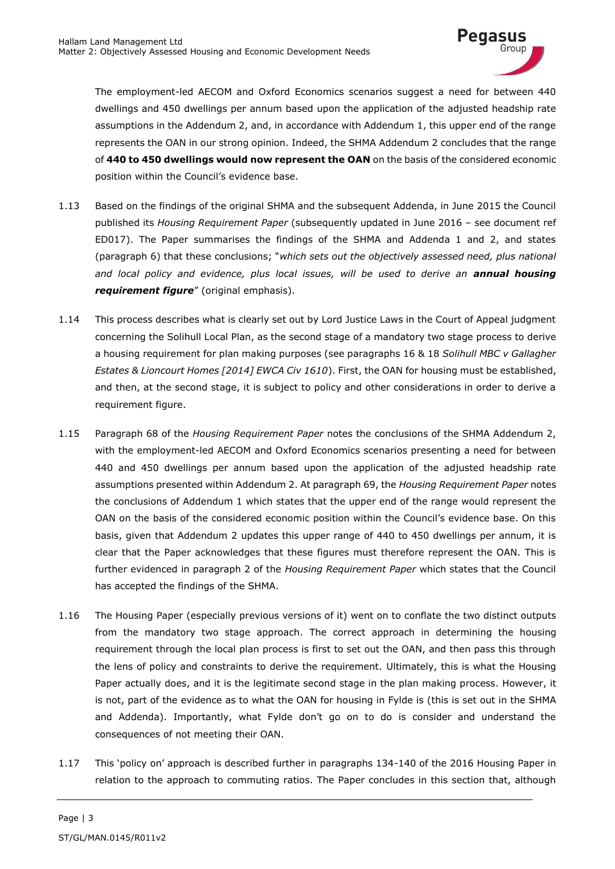

The employment-led AECOM and Oxford Economics scenarios suggest a need for between 440 dwellings and 450 dwellings per annum based upon the application of the adjusted headship rate assumptions in the Addendum 2, and, in accordance with Addendum 1, this upper end of the range represents the OAN in our strong opinion. Indeed, the SHMA Addendum 2 concludes that the range of **440 to 450 dwellings would now represent the OAN** on the basis of the considered economic position within the Council's evidence base.

- 1.13 Based on the findings of the original SHMA and the subsequent Addenda, in June 2015 the Council published its *Housing Requirement Paper* (subsequently updated in June 2016 – see document ref ED017). The Paper summarises the findings of the SHMA and Addenda 1 and 2, and states (paragraph 6) that these conclusions; "*which sets out the objectively assessed need, plus national*  and local policy and evidence, plus local issues, will be used to derive an **annual housing** *requirement figure*" (original emphasis).
- 1.14 This process describes what is clearly set out by Lord Justice Laws in the Court of Appeal judgment concerning the Solihull Local Plan, as the second stage of a mandatory two stage process to derive a housing requirement for plan making purposes (see paragraphs 16 & 18 *Solihull MBC v Gallagher Estates & Lioncourt Homes [2014] EWCA Civ 1610*). First, the OAN for housing must be established, and then, at the second stage, it is subject to policy and other considerations in order to derive a requirement figure.
- 1.15 Paragraph 68 of the *Housing Requirement Paper* notes the conclusions of the SHMA Addendum 2, with the employment-led AECOM and Oxford Economics scenarios presenting a need for between 440 and 450 dwellings per annum based upon the application of the adjusted headship rate assumptions presented within Addendum 2. At paragraph 69, the *Housing Requirement Paper* notes the conclusions of Addendum 1 which states that the upper end of the range would represent the OAN on the basis of the considered economic position within the Council's evidence base. On this basis, given that Addendum 2 updates this upper range of 440 to 450 dwellings per annum, it is clear that the Paper acknowledges that these figures must therefore represent the OAN. This is further evidenced in paragraph 2 of the *Housing Requirement Paper* which states that the Council has accepted the findings of the SHMA.
- 1.16 The Housing Paper (especially previous versions of it) went on to conflate the two distinct outputs from the mandatory two stage approach. The correct approach in determining the housing requirement through the local plan process is first to set out the OAN, and then pass this through the lens of policy and constraints to derive the requirement. Ultimately, this is what the Housing Paper actually does, and it is the legitimate second stage in the plan making process. However, it is not, part of the evidence as to what the OAN for housing in Fylde is (this is set out in the SHMA and Addenda). Importantly, what Fylde don't go on to do is consider and understand the consequences of not meeting their OAN.
- 1.17 This 'policy on' approach is described further in paragraphs 134-140 of the 2016 Housing Paper in relation to the approach to commuting ratios. The Paper concludes in this section that, although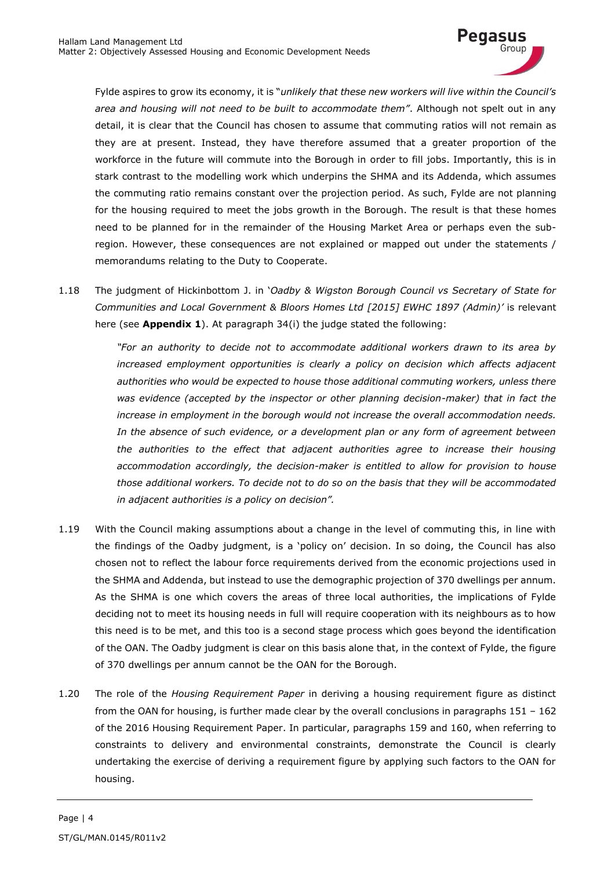

Fylde aspires to grow its economy, it is "*unlikely that these new workers will live within the Council's area and housing will not need to be built to accommodate them"*. Although not spelt out in any detail, it is clear that the Council has chosen to assume that commuting ratios will not remain as they are at present. Instead, they have therefore assumed that a greater proportion of the workforce in the future will commute into the Borough in order to fill jobs. Importantly, this is in stark contrast to the modelling work which underpins the SHMA and its Addenda, which assumes the commuting ratio remains constant over the projection period. As such, Fylde are not planning for the housing required to meet the jobs growth in the Borough. The result is that these homes need to be planned for in the remainder of the Housing Market Area or perhaps even the subregion. However, these consequences are not explained or mapped out under the statements / memorandums relating to the Duty to Cooperate.

1.18 The judgment of Hickinbottom J. in '*Oadby & Wigston Borough Council vs Secretary of State for Communities and Local Government & Bloors Homes Ltd [2015] EWHC 1897 (Admin)'* is relevant here (see **Appendix 1**). At paragraph 34(i) the judge stated the following:

> *"For an authority to decide not to accommodate additional workers drawn to its area by*  increased employment opportunities is clearly a policy on decision which affects adjacent *authorities who would be expected to house those additional commuting workers, unless there was evidence (accepted by the inspector or other planning decision-maker) that in fact the increase in employment in the borough would not increase the overall accommodation needs. In the absence of such evidence, or a development plan or any form of agreement between the authorities to the effect that adjacent authorities agree to increase their housing accommodation accordingly, the decision-maker is entitled to allow for provision to house those additional workers. To decide not to do so on the basis that they will be accommodated in adjacent authorities is a policy on decision".*

- 1.19 With the Council making assumptions about a change in the level of commuting this, in line with the findings of the Oadby judgment, is a 'policy on' decision. In so doing, the Council has also chosen not to reflect the labour force requirements derived from the economic projections used in the SHMA and Addenda, but instead to use the demographic projection of 370 dwellings per annum. As the SHMA is one which covers the areas of three local authorities, the implications of Fylde deciding not to meet its housing needs in full will require cooperation with its neighbours as to how this need is to be met, and this too is a second stage process which goes beyond the identification of the OAN. The Oadby judgment is clear on this basis alone that, in the context of Fylde, the figure of 370 dwellings per annum cannot be the OAN for the Borough.
- 1.20 The role of the *Housing Requirement Paper* in deriving a housing requirement figure as distinct from the OAN for housing, is further made clear by the overall conclusions in paragraphs  $151 - 162$ of the 2016 Housing Requirement Paper. In particular, paragraphs 159 and 160, when referring to constraints to delivery and environmental constraints, demonstrate the Council is clearly undertaking the exercise of deriving a requirement figure by applying such factors to the OAN for housing.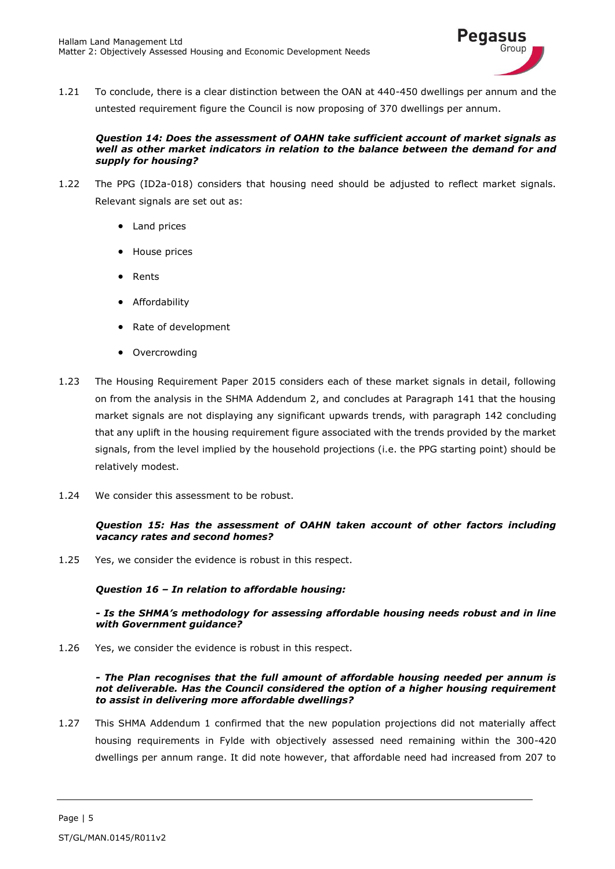

1.21 To conclude, there is a clear distinction between the OAN at 440-450 dwellings per annum and the untested requirement figure the Council is now proposing of 370 dwellings per annum.

#### *Question 14: Does the assessment of OAHN take sufficient account of market signals as well as other market indicators in relation to the balance between the demand for and supply for housing?*

- 1.22 The PPG (ID2a-018) considers that housing need should be adjusted to reflect market signals. Relevant signals are set out as:
	- Land prices
	- House prices
	- Rents
	- **•** Affordability
	- Rate of development
	- Overcrowding
- 1.23 The Housing Requirement Paper 2015 considers each of these market signals in detail, following on from the analysis in the SHMA Addendum 2, and concludes at Paragraph 141 that the housing market signals are not displaying any significant upwards trends, with paragraph 142 concluding that any uplift in the housing requirement figure associated with the trends provided by the market signals, from the level implied by the household projections (i.e. the PPG starting point) should be relatively modest.
- 1.24 We consider this assessment to be robust.

#### *Question 15: Has the assessment of OAHN taken account of other factors including vacancy rates and second homes?*

1.25 Yes, we consider the evidence is robust in this respect.

# *Question 16 – In relation to affordable housing:*

#### *- Is the SHMA's methodology for assessing affordable housing needs robust and in line with Government guidance?*

1.26 Yes, we consider the evidence is robust in this respect.

#### *- The Plan recognises that the full amount of affordable housing needed per annum is not deliverable. Has the Council considered the option of a higher housing requirement to assist in delivering more affordable dwellings?*

1.27 This SHMA Addendum 1 confirmed that the new population projections did not materially affect housing requirements in Fylde with objectively assessed need remaining within the 300-420 dwellings per annum range. It did note however, that affordable need had increased from 207 to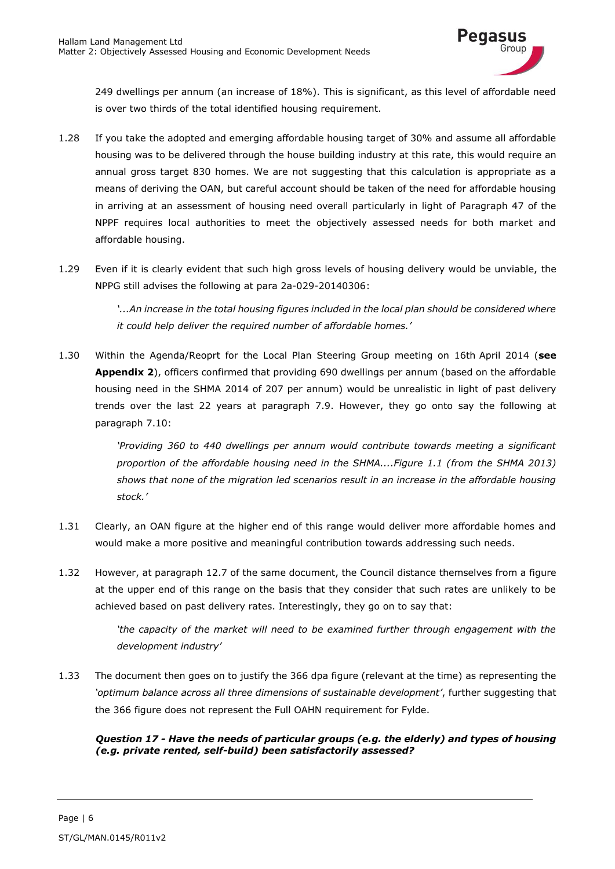

249 dwellings per annum (an increase of 18%). This is significant, as this level of affordable need is over two thirds of the total identified housing requirement.

- 1.28 If you take the adopted and emerging affordable housing target of 30% and assume all affordable housing was to be delivered through the house building industry at this rate, this would require an annual gross target 830 homes. We are not suggesting that this calculation is appropriate as a means of deriving the OAN, but careful account should be taken of the need for affordable housing in arriving at an assessment of housing need overall particularly in light of Paragraph 47 of the NPPF requires local authorities to meet the objectively assessed needs for both market and affordable housing.
- 1.29 Even if it is clearly evident that such high gross levels of housing delivery would be unviable, the NPPG still advises the following at para 2a-029-20140306:

*'...An increase in the total housing figures included in the local plan should be considered where it could help deliver the required number of affordable homes.'* 

1.30 Within the Agenda/Reoprt for the Local Plan Steering Group meeting on 16th April 2014 (**see Appendix 2**), officers confirmed that providing 690 dwellings per annum (based on the affordable housing need in the SHMA 2014 of 207 per annum) would be unrealistic in light of past delivery trends over the last 22 years at paragraph 7.9. However, they go onto say the following at paragraph 7.10:

> *'Providing 360 to 440 dwellings per annum would contribute towards meeting a significant proportion of the affordable housing need in the SHMA....Figure 1.1 (from the SHMA 2013) shows that none of the migration led scenarios result in an increase in the affordable housing stock.'*

- 1.31 Clearly, an OAN figure at the higher end of this range would deliver more affordable homes and would make a more positive and meaningful contribution towards addressing such needs.
- 1.32 However, at paragraph 12.7 of the same document, the Council distance themselves from a figure at the upper end of this range on the basis that they consider that such rates are unlikely to be achieved based on past delivery rates. Interestingly, they go on to say that:

*'the capacity of the market will need to be examined further through engagement with the development industry'* 

1.33 The document then goes on to justify the 366 dpa figure (relevant at the time) as representing the *'optimum balance across all three dimensions of sustainable development'*, further suggesting that the 366 figure does not represent the Full OAHN requirement for Fylde.

# *Question 17 - Have the needs of particular groups (e.g. the elderly) and types of housing (e.g. private rented, self-build) been satisfactorily assessed?*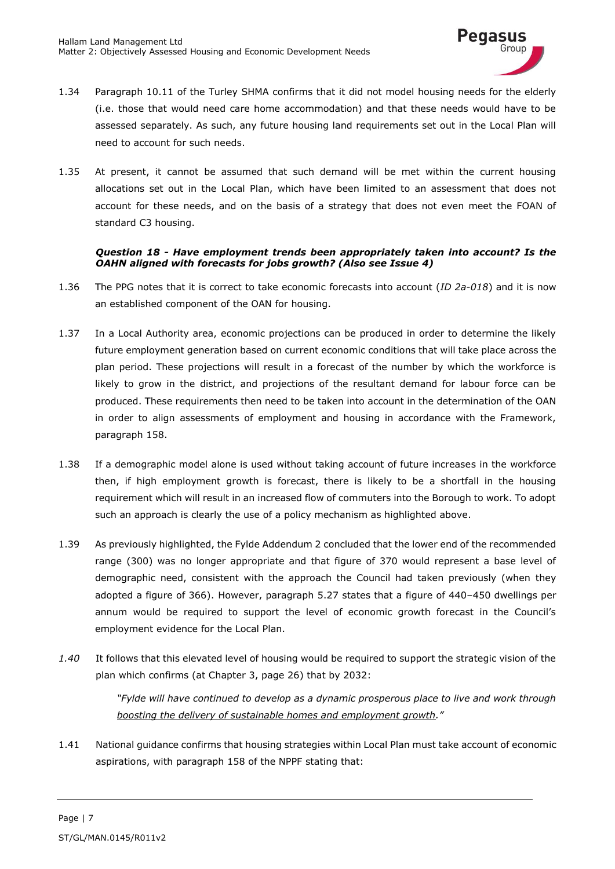

- 1.34 Paragraph 10.11 of the Turley SHMA confirms that it did not model housing needs for the elderly (i.e. those that would need care home accommodation) and that these needs would have to be assessed separately. As such, any future housing land requirements set out in the Local Plan will need to account for such needs.
- 1.35 At present, it cannot be assumed that such demand will be met within the current housing allocations set out in the Local Plan, which have been limited to an assessment that does not account for these needs, and on the basis of a strategy that does not even meet the FOAN of standard C3 housing.

# *Question 18 - Have employment trends been appropriately taken into account? Is the OAHN aligned with forecasts for jobs growth? (Also see Issue 4)*

- 1.36 The PPG notes that it is correct to take economic forecasts into account (*ID 2a-018*) and it is now an established component of the OAN for housing.
- 1.37 In a Local Authority area, economic projections can be produced in order to determine the likely future employment generation based on current economic conditions that will take place across the plan period. These projections will result in a forecast of the number by which the workforce is likely to grow in the district, and projections of the resultant demand for labour force can be produced. These requirements then need to be taken into account in the determination of the OAN in order to align assessments of employment and housing in accordance with the Framework, paragraph 158.
- 1.38 If a demographic model alone is used without taking account of future increases in the workforce then, if high employment growth is forecast, there is likely to be a shortfall in the housing requirement which will result in an increased flow of commuters into the Borough to work. To adopt such an approach is clearly the use of a policy mechanism as highlighted above.
- 1.39 As previously highlighted, the Fylde Addendum 2 concluded that the lower end of the recommended range (300) was no longer appropriate and that figure of 370 would represent a base level of demographic need, consistent with the approach the Council had taken previously (when they adopted a figure of 366). However, paragraph 5.27 states that a figure of 440–450 dwellings per annum would be required to support the level of economic growth forecast in the Council's employment evidence for the Local Plan.
- *1.40* It follows that this elevated level of housing would be required to support the strategic vision of the plan which confirms (at Chapter 3, page 26) that by 2032:

*"Fylde will have continued to develop as a dynamic prosperous place to live and work through boosting the delivery of sustainable homes and employment growth."*

1.41 National guidance confirms that housing strategies within Local Plan must take account of economic aspirations, with paragraph 158 of the NPPF stating that: